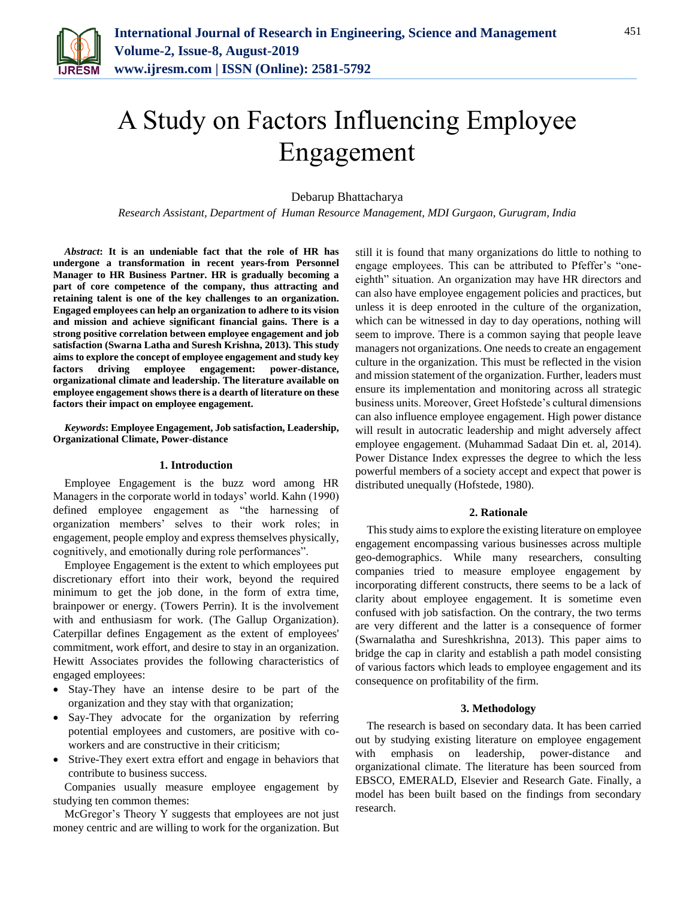

# A Study on Factors Influencing Employee Engagement

Debarup Bhattacharya

*Research Assistant, Department of Human Resource Management, MDI Gurgaon, Gurugram, India*

*Abstract***: It is an undeniable fact that the role of HR has undergone a transformation in recent years-from Personnel Manager to HR Business Partner. HR is gradually becoming a part of core competence of the company, thus attracting and retaining talent is one of the key challenges to an organization. Engaged employees can help an organization to adhere to its vision and mission and achieve significant financial gains. There is a strong positive correlation between employee engagement and job satisfaction (Swarna Latha and Suresh Krishna, 2013). This study aims to explore the concept of employee engagement and study key factors driving employee engagement: power-distance, organizational climate and leadership. The literature available on employee engagement shows there is a dearth of literature on these factors their impact on employee engagement.**

*Keywords***: Employee Engagement, Job satisfaction, Leadership, Organizational Climate, Power-distance**

## **1. Introduction**

Employee Engagement is the buzz word among HR Managers in the corporate world in todays' world. Kahn (1990) defined employee engagement as "the harnessing of organization members' selves to their work roles; in engagement, people employ and express themselves physically, cognitively, and emotionally during role performances".

Employee Engagement is the extent to which employees put discretionary effort into their work, beyond the required minimum to get the job done, in the form of extra time, brainpower or energy. (Towers Perrin). It is the involvement with and enthusiasm for work. (The Gallup Organization). Caterpillar defines Engagement as the extent of employees' commitment, work effort, and desire to stay in an organization. Hewitt Associates provides the following characteristics of engaged employees:

- Stay-They have an intense desire to be part of the organization and they stay with that organization;
- Say-They advocate for the organization by referring potential employees and customers, are positive with coworkers and are constructive in their criticism;
- Strive-They exert extra effort and engage in behaviors that contribute to business success.

Companies usually measure employee engagement by studying ten common themes:

McGregor's Theory Y suggests that employees are not just money centric and are willing to work for the organization. But still it is found that many organizations do little to nothing to engage employees. This can be attributed to Pfeffer's "oneeighth" situation. An organization may have HR directors and can also have employee engagement policies and practices, but unless it is deep enrooted in the culture of the organization, which can be witnessed in day to day operations, nothing will seem to improve. There is a common saying that people leave managers not organizations. One needs to create an engagement culture in the organization. This must be reflected in the vision and mission statement of the organization. Further, leaders must ensure its implementation and monitoring across all strategic business units. Moreover, Greet Hofstede's cultural dimensions can also influence employee engagement. High power distance will result in autocratic leadership and might adversely affect employee engagement. (Muhammad Sadaat Din et. al, 2014). Power Distance Index expresses the degree to which the less powerful members of a society accept and expect that power is distributed unequally (Hofstede, 1980).

## **2. Rationale**

This study aims to explore the existing literature on employee engagement encompassing various businesses across multiple geo-demographics. While many researchers, consulting companies tried to measure employee engagement by incorporating different constructs, there seems to be a lack of clarity about employee engagement. It is sometime even confused with job satisfaction. On the contrary, the two terms are very different and the latter is a consequence of former (Swarnalatha and Sureshkrishna, 2013). This paper aims to bridge the cap in clarity and establish a path model consisting of various factors which leads to employee engagement and its consequence on profitability of the firm.

# **3. Methodology**

The research is based on secondary data. It has been carried out by studying existing literature on employee engagement with emphasis on leadership, power-distance and organizational climate. The literature has been sourced from EBSCO, EMERALD, Elsevier and Research Gate. Finally, a model has been built based on the findings from secondary research.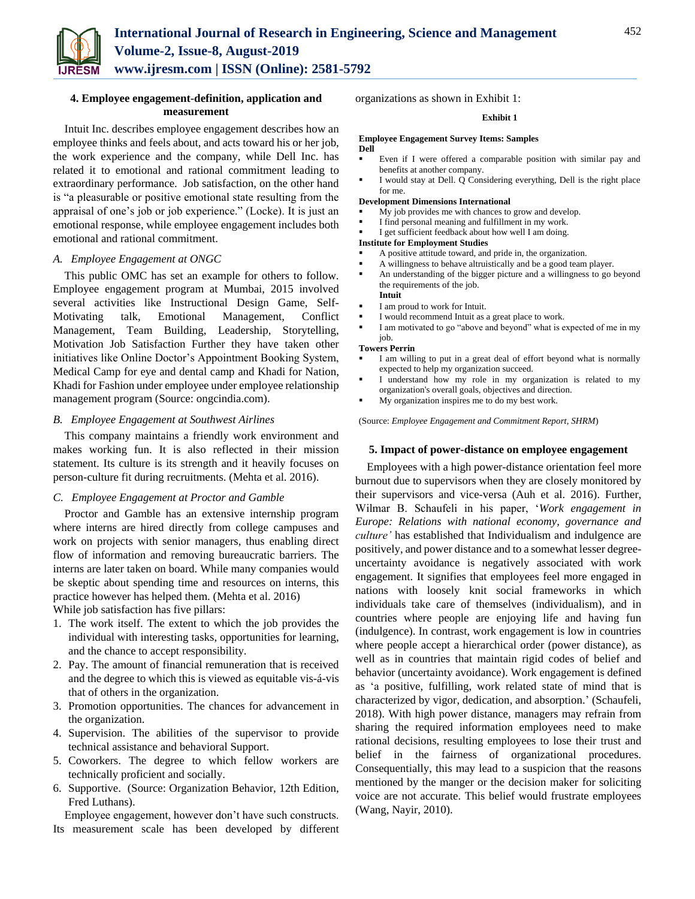

# **4. Employee engagement-definition, application and measurement**

Intuit Inc. describes employee engagement describes how an employee thinks and feels about, and acts toward his or her job, the work experience and the company, while Dell Inc. has related it to emotional and rational commitment leading to extraordinary performance. Job satisfaction, on the other hand is "a pleasurable or positive emotional state resulting from the appraisal of one's job or job experience." (Locke). It is just an emotional response, while employee engagement includes both emotional and rational commitment.

# *A. Employee Engagement at ONGC*

This public OMC has set an example for others to follow. Employee engagement program at Mumbai, 2015 involved several activities like Instructional Design Game, Self-Motivating talk, Emotional Management, Conflict Management, Team Building, Leadership, Storytelling, Motivation Job Satisfaction Further they have taken other initiatives like Online Doctor's Appointment Booking System, Medical Camp for eye and dental camp and Khadi for Nation, Khadi for Fashion under employee under employee relationship management program (Source: ongcindia.com).

# *B. Employee Engagement at Southwest Airlines*

This company maintains a friendly work environment and makes working fun. It is also reflected in their mission statement. Its culture is its strength and it heavily focuses on person-culture fit during recruitments. (Mehta et al. 2016).

# *C. Employee Engagement at Proctor and Gamble*

Proctor and Gamble has an extensive internship program where interns are hired directly from college campuses and work on projects with senior managers, thus enabling direct flow of information and removing bureaucratic barriers. The interns are later taken on board. While many companies would be skeptic about spending time and resources on interns, this practice however has helped them. (Mehta et al. 2016)

While job satisfaction has five pillars:

- 1. The work itself. The extent to which the job provides the individual with interesting tasks, opportunities for learning, and the chance to accept responsibility.
- 2. Pay. The amount of financial remuneration that is received and the degree to which this is viewed as equitable vis-á-vis that of others in the organization.
- 3. Promotion opportunities. The chances for advancement in the organization.
- 4. Supervision. The abilities of the supervisor to provide technical assistance and behavioral Support.
- 5. Coworkers. The degree to which fellow workers are technically proficient and socially.
- 6. Supportive. (Source: Organization Behavior, 12th Edition, Fred Luthans).

Employee engagement, however don't have such constructs. Its measurement scale has been developed by different organizations as shown in Exhibit 1:

## **Exhibit 1**

## **Employee Engagement Survey Items: Samples Dell**

- Even if I were offered a comparable position with similar pay and benefits at another company.
- I would stay at Dell. Q Considering everything, Dell is the right place for me.

#### **Development Dimensions International**

- My job provides me with chances to grow and develop.
- I find personal meaning and fulfillment in my work.
- I get sufficient feedback about how well I am doing.

## **Institute for Employment Studies**

- A positive attitude toward, and pride in, the organization.
- A willingness to behave altruistically and be a good team player.
- An understanding of the bigger picture and a willingness to go beyond the requirements of the job. **Intuit**
- I am proud to work for Intuit.
- I would recommend Intuit as a great place to work.
- I am motivated to go "above and beyond" what is expected of me in my job.

#### **Towers Perrin**

- I am willing to put in a great deal of effort beyond what is normally expected to help my organization succeed.
- I understand how my role in my organization is related to my organization's overall goals, objectives and direction.
- My organization inspires me to do my best work.

(Source: *Employee Engagement and Commitment Report, SHRM*)

## **5. Impact of power-distance on employee engagement**

Employees with a high power-distance orientation feel more burnout due to supervisors when they are closely monitored by their supervisors and vice-versa (Auh et al. 2016). Further, Wilmar B. Schaufeli in his paper, '*Work engagement in Europe: Relations with national economy, governance and culture'* has established that Individualism and indulgence are positively, and power distance and to a somewhat lesser degreeuncertainty avoidance is negatively associated with work engagement. It signifies that employees feel more engaged in nations with loosely knit social frameworks in which individuals take care of themselves (individualism), and in countries where people are enjoying life and having fun (indulgence). In contrast, work engagement is low in countries where people accept a hierarchical order (power distance), as well as in countries that maintain rigid codes of belief and behavior (uncertainty avoidance). Work engagement is defined as 'a positive, fulfilling, work related state of mind that is characterized by vigor, dedication, and absorption.' (Schaufeli, 2018). With high power distance, managers may refrain from sharing the required information employees need to make rational decisions, resulting employees to lose their trust and belief in the fairness of organizational procedures. Consequentially, this may lead to a suspicion that the reasons mentioned by the manger or the decision maker for soliciting voice are not accurate. This belief would frustrate employees (Wang, Nayir, 2010).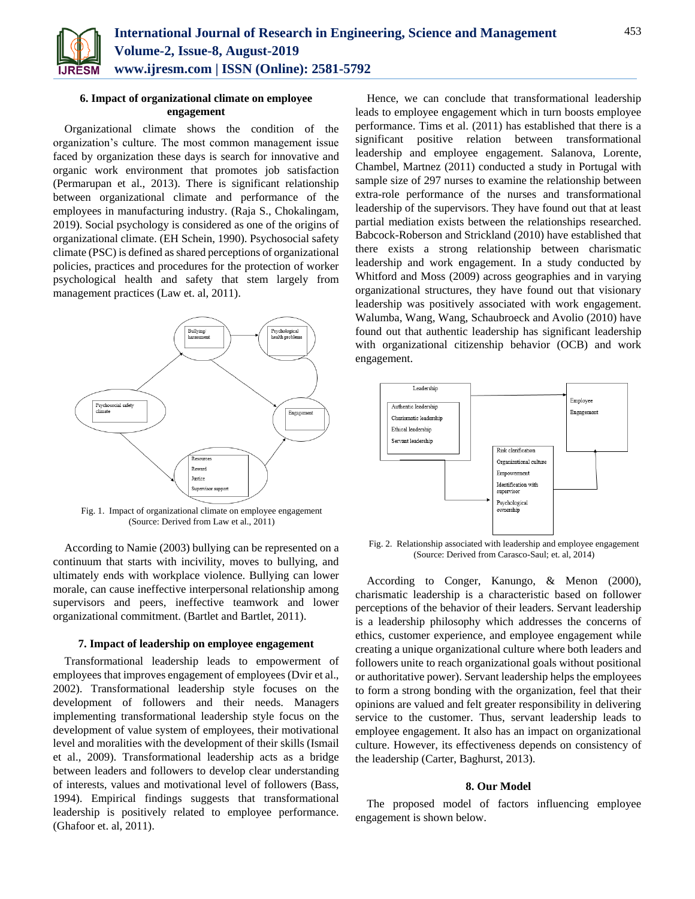

# **6. Impact of organizational climate on employee engagement**

Organizational climate shows the condition of the organization's culture. The most common management issue faced by organization these days is search for innovative and organic work environment that promotes job satisfaction (Permarupan et al., 2013). There is significant relationship between organizational climate and performance of the employees in manufacturing industry. (Raja S., Chokalingam, 2019). Social psychology is considered as one of the origins of organizational climate. (EH Schein, 1990). Psychosocial safety climate (PSC) is defined as shared perceptions of organizational policies, practices and procedures for the protection of worker psychological health and safety that stem largely from management practices (Law et. al, 2011).



Fig. 1. Impact of organizational climate on employee engagement (Source: Derived from Law et al., 2011)

According to Namie (2003) bullying can be represented on a continuum that starts with incivility, moves to bullying, and ultimately ends with workplace violence. Bullying can lower morale, can cause ineffective interpersonal relationship among supervisors and peers, ineffective teamwork and lower organizational commitment. (Bartlet and Bartlet, 2011).

# **7. Impact of leadership on employee engagement**

Transformational leadership leads to empowerment of employees that improves engagement of employees (Dvir et al., 2002). Transformational leadership style focuses on the development of followers and their needs. Managers implementing transformational leadership style focus on the development of value system of employees, their motivational level and moralities with the development of their skills (Ismail et al., 2009). Transformational leadership acts as a bridge between leaders and followers to develop clear understanding of interests, values and motivational level of followers (Bass, 1994). Empirical findings suggests that transformational leadership is positively related to employee performance. (Ghafoor et. al, 2011).

Hence, we can conclude that transformational leadership leads to employee engagement which in turn boosts employee performance. Tims et al. (2011) has established that there is a significant positive relation between transformational leadership and employee engagement. Salanova, Lorente, Chambel, Martnez (2011) conducted a study in Portugal with sample size of 297 nurses to examine the relationship between extra-role performance of the nurses and transformational leadership of the supervisors. They have found out that at least partial mediation exists between the relationships researched. Babcock-Roberson and Strickland (2010) have established that there exists a strong relationship between charismatic leadership and work engagement. In a study conducted by Whitford and Moss (2009) across geographies and in varying organizational structures, they have found out that visionary leadership was positively associated with work engagement. Walumba, Wang, Wang, Schaubroeck and Avolio (2010) have found out that authentic leadership has significant leadership with organizational citizenship behavior (OCB) and work engagement.



Fig. 2. Relationship associated with leadership and employee engagement (Source: Derived from Carasco-Saul; et. al, 2014)

According to Conger, Kanungo, & Menon (2000), charismatic leadership is a characteristic based on follower perceptions of the behavior of their leaders. Servant leadership is a leadership philosophy which addresses the concerns of ethics, customer experience, and employee engagement while creating a unique organizational culture where both leaders and followers unite to reach organizational goals without positional or authoritative power). Servant leadership helps the employees to form a strong bonding with the organization, feel that their opinions are valued and felt greater responsibility in delivering service to the customer. Thus, servant leadership leads to employee engagement. It also has an impact on organizational culture. However, its effectiveness depends on consistency of the leadership (Carter, Baghurst, 2013).

## **8. Our Model**

The proposed model of factors influencing employee engagement is shown below.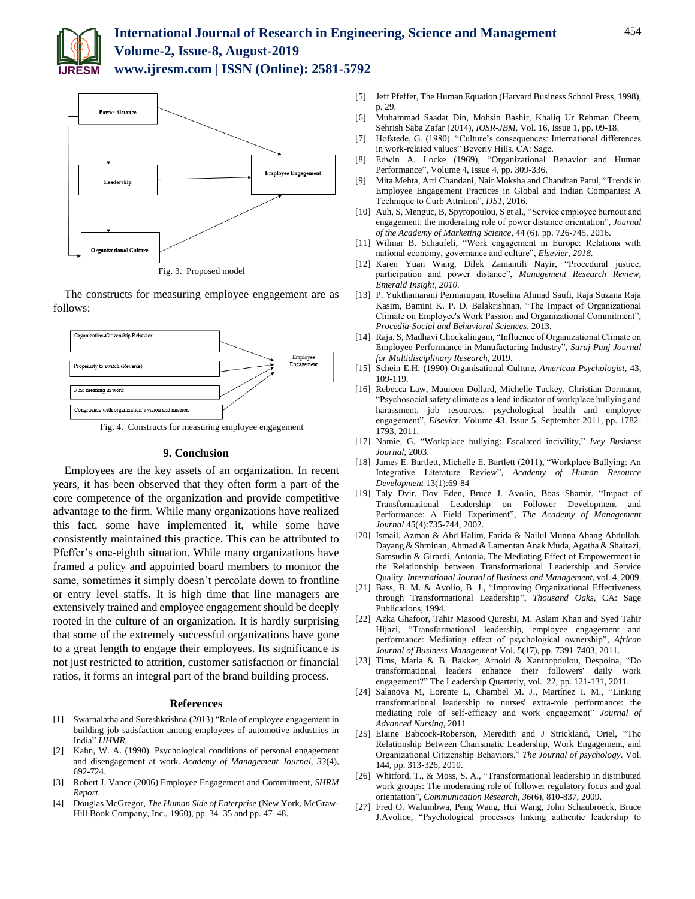



Fig. 3. Proposed model

The constructs for measuring employee engagement are as follows:



Fig. 4. Constructs for measuring employee engagement

## **9. Conclusion**

Employees are the key assets of an organization. In recent years, it has been observed that they often form a part of the core competence of the organization and provide competitive advantage to the firm. While many organizations have realized this fact, some have implemented it, while some have consistently maintained this practice. This can be attributed to Pfeffer's one-eighth situation. While many organizations have framed a policy and appointed board members to monitor the same, sometimes it simply doesn't percolate down to frontline or entry level staffs. It is high time that line managers are extensively trained and employee engagement should be deeply rooted in the culture of an organization. It is hardly surprising that some of the extremely successful organizations have gone to a great length to engage their employees. Its significance is not just restricted to attrition, customer satisfaction or financial ratios, it forms an integral part of the brand building process.

## **References**

- [1] Swarnalatha and Sureshkrishna (2013) "Role of employee engagement in building job satisfaction among employees of automotive industries in India" *IJHMR.*
- [2] Kahn, W. A. (1990). Psychological conditions of personal engagement and disengagement at work. *Academy of Management Journal, 33*(4), 692-724.
- [3] Robert J. Vance (2006) Employee Engagement and Commitment, *SHRM Report.*
- [4] Douglas McGregor, *The Human Side of Enterprise* (New York, McGraw-Hill Book Company, Inc., 1960), pp. 34–35 and pp. 47–48.
- [5] Jeff Pfeffer, The Human Equation (Harvard Business School Press, 1998), p. 29.
- [6] Muhammad Saadat Din, Mohsin Bashir, Khaliq Ur Rehman Cheem, Sehrish Saba Zafar (2014), *IOSR-JBM,* Vol. 16, Issue 1, pp. 09-18.
- [7] Hofstede, G. (1980). "Culture's consequences: International differences in work-related values" Beverly Hills, CA: Sage.
- [8] Edwin A. Locke (1969), "Organizational Behavior and Human Performance", Volume 4, Issue 4, pp. 309-336.
- [9] Mita Mehta, Arti Chandani, Nair Moksha and Chandran Parul, "Trends in Employee Engagement Practices in Global and Indian Companies: A Technique to Curb Attrition", *IJST,* 2016.
- [10] Auh, S, Menguc, B, Spyropoulou, S et al., "Service employee burnout and engagement: the moderating role of power distance orientation", *Journal of the Academy of Marketing Science*, 44 (6). pp. 726-745, 2016.
- [11] Wilmar B. Schaufeli, "Work engagement in Europe: Relations with national economy, governance and culture", *Elsevier, 2018.*
- [12] Karen Yuan Wang, Dilek Zamantili Nayir, "Procedural justice, participation and power distance", *Management Research Review, Emerald Insight, 2010.*
- [13] P. Yukthamarani Permarupan, Roselina Ahmad Saufi, Raja Suzana Raja Kasim, Bamini K. P. D. Balakrishnan, "The Impact of Organizational Climate on Employee's Work Passion and Organizational Commitment", *Procedia-Social and Behavioral Sciences,* 2013.
- [14] Raja. S, Madhavi Chockalingam, "Influence of Organizational Climate on Employee Performance in Manufacturing Industry", *Suraj Punj Journal for Multidisciplinary Research*, 2019.
- [15] Schein E.H. (1990) Organisational Culture, *American Psychologist*, 43, 109-119.
- [16] Rebecca Law, Maureen Dollard, Michelle Tuckey, Christian Dormann, "Psychosocial safety climate as a lead indicator of workplace bullying and harassment, job resources, psychological health and employee engagement", *Elsevier,* Volume 43, Issue 5, September 2011, pp. 1782- 1793, 2011.
- [17] Namie, G, "Workplace bullying: Escalated incivility," *Ivey Business Journal*, 2003.
- [18] James E. Bartlett, Michelle E. Bartlett (2011), "Workplace Bullying: An Integrative Literature Review", *Academy of Human Resource Development* 13(1):69-84
- [19] Taly Dvir, Dov Eden, Bruce J. Avolio, Boas Shamir, "Impact of Transformational Leadership on Follower Development and Performance: A Field Experiment", *The Academy of Management Journal* 45(4):735-744, 2002.
- [20] Ismail, Azman & Abd Halim, Farida & Nailul Munna Abang Abdullah, Dayang & Shminan, Ahmad & Lamentan Anak Muda, Agatha & Shairazi, Samsudin & Girardi, Antonia, The Mediating Effect of Empowerment in the Relationship between Transformational Leadership and Service Quality. *International Journal of Business and Management*, vol. 4, 2009.
- [21] Bass, B. M. & Avolio, B. J., "Improving Organizational Effectiveness through Transformational Leadership", *Thousand Oaks*, CA: Sage Publications, 1994.
- [22] Azka Ghafoor, Tahir Masood Qureshi, M. Aslam Khan and Syed Tahir Hijazi, "Transformational leadership, employee engagement and performance: Mediating effect of psychological ownership", *African Journal of Business Management* Vol. 5(17), pp. 7391-7403, 2011.
- [23] Tims, Maria & B. Bakker, Arnold & Xanthopoulou, Despoina, "Do transformational leaders enhance their followers' daily work engagement?" The Leadership Quarterly, vol. 22, pp. 121-131, 2011.
- [24] Salanova M, Lorente L, Chambel M. J., Martínez I. M., "Linking transformational leadership to nurses' extra-role performance: the mediating role of self-efficacy and work engagement" *Journal of Advanced Nursing*, 2011.
- [25] Elaine Babcock-Roberson, Meredith and J Strickland, Oriel, "The Relationship Between Charismatic Leadership, Work Engagement, and Organizational Citizenship Behaviors." *The Journal of psychology*. Vol. 144, pp. 313-326, 2010.
- [26] Whitford, T., & Moss, S. A., "Transformational leadership in distributed work groups: The moderating role of follower regulatory focus and goal orientation", *Communication Research, 36*(6), 810-837, 2009.
- [27] Fred O. Walumbwa, Peng Wang, Hui Wang, John Schaubroeck, Bruce J.Avolioe, "Psychological processes linking authentic leadership to